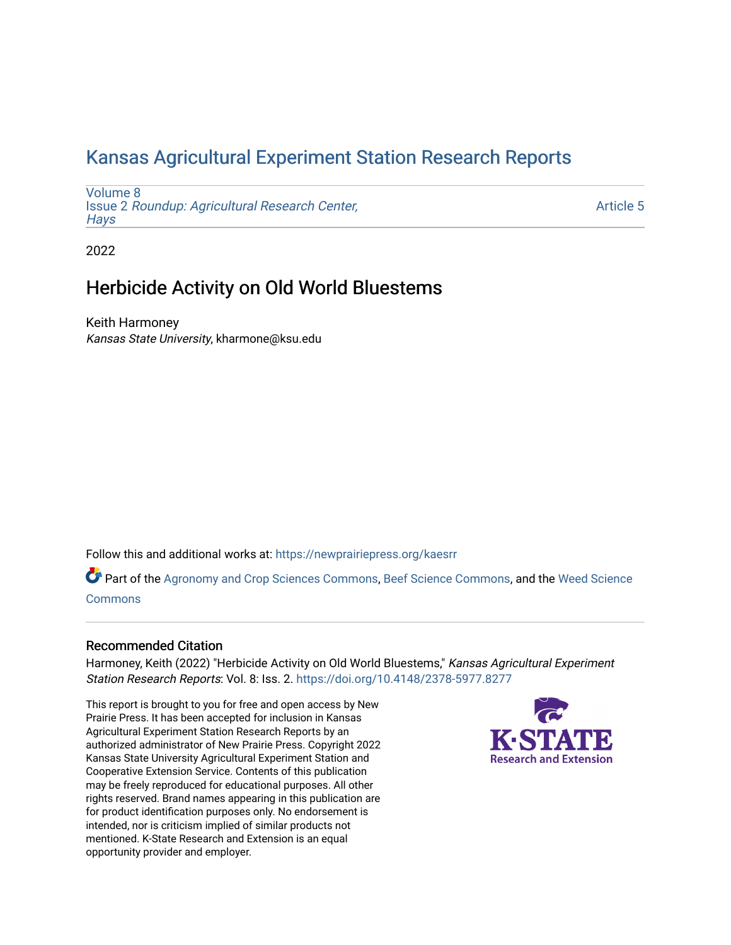# [Kansas Agricultural Experiment Station Research Reports](https://newprairiepress.org/kaesrr)

[Volume 8](https://newprairiepress.org/kaesrr/vol8) Issue 2 [Roundup: Agricultural Research Center,](https://newprairiepress.org/kaesrr/vol8/iss2)  **Havs** 

[Article 5](https://newprairiepress.org/kaesrr/vol8/iss2/5) 

2022

# Herbicide Activity on Old World Bluestems

Keith Harmoney Kansas State University, kharmone@ksu.edu

Follow this and additional works at: [https://newprairiepress.org/kaesrr](https://newprairiepress.org/kaesrr?utm_source=newprairiepress.org%2Fkaesrr%2Fvol8%2Fiss2%2F5&utm_medium=PDF&utm_campaign=PDFCoverPages) 

Part of the [Agronomy and Crop Sciences Commons,](http://network.bepress.com/hgg/discipline/103?utm_source=newprairiepress.org%2Fkaesrr%2Fvol8%2Fiss2%2F5&utm_medium=PDF&utm_campaign=PDFCoverPages) [Beef Science Commons,](http://network.bepress.com/hgg/discipline/1404?utm_source=newprairiepress.org%2Fkaesrr%2Fvol8%2Fiss2%2F5&utm_medium=PDF&utm_campaign=PDFCoverPages) and the [Weed Science](http://network.bepress.com/hgg/discipline/1267?utm_source=newprairiepress.org%2Fkaesrr%2Fvol8%2Fiss2%2F5&utm_medium=PDF&utm_campaign=PDFCoverPages) [Commons](http://network.bepress.com/hgg/discipline/1267?utm_source=newprairiepress.org%2Fkaesrr%2Fvol8%2Fiss2%2F5&utm_medium=PDF&utm_campaign=PDFCoverPages)

#### Recommended Citation

Harmoney, Keith (2022) "Herbicide Activity on Old World Bluestems," Kansas Agricultural Experiment Station Research Reports: Vol. 8: Iss. 2.<https://doi.org/10.4148/2378-5977.8277>

This report is brought to you for free and open access by New Prairie Press. It has been accepted for inclusion in Kansas Agricultural Experiment Station Research Reports by an authorized administrator of New Prairie Press. Copyright 2022 Kansas State University Agricultural Experiment Station and Cooperative Extension Service. Contents of this publication may be freely reproduced for educational purposes. All other rights reserved. Brand names appearing in this publication are for product identification purposes only. No endorsement is intended, nor is criticism implied of similar products not mentioned. K-State Research and Extension is an equal opportunity provider and employer.

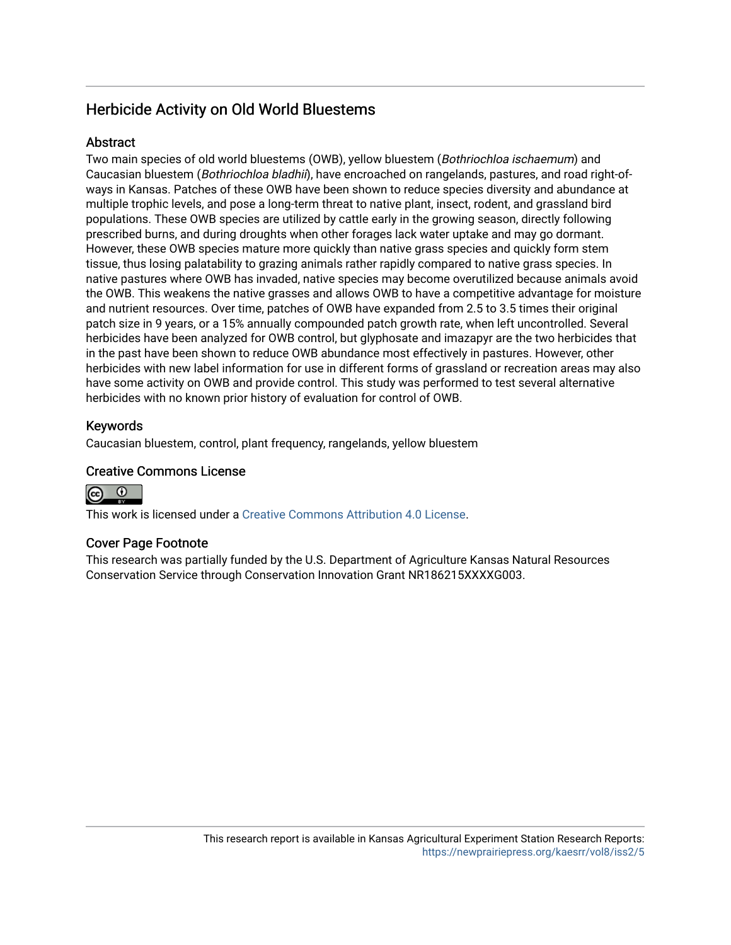# Herbicide Activity on Old World Bluestems

# **Abstract**

Two main species of old world bluestems (OWB), yellow bluestem (Bothriochloa ischaemum) and Caucasian bluestem (Bothriochloa bladhii), have encroached on rangelands, pastures, and road right-ofways in Kansas. Patches of these OWB have been shown to reduce species diversity and abundance at multiple trophic levels, and pose a long-term threat to native plant, insect, rodent, and grassland bird populations. These OWB species are utilized by cattle early in the growing season, directly following prescribed burns, and during droughts when other forages lack water uptake and may go dormant. However, these OWB species mature more quickly than native grass species and quickly form stem tissue, thus losing palatability to grazing animals rather rapidly compared to native grass species. In native pastures where OWB has invaded, native species may become overutilized because animals avoid the OWB. This weakens the native grasses and allows OWB to have a competitive advantage for moisture and nutrient resources. Over time, patches of OWB have expanded from 2.5 to 3.5 times their original patch size in 9 years, or a 15% annually compounded patch growth rate, when left uncontrolled. Several herbicides have been analyzed for OWB control, but glyphosate and imazapyr are the two herbicides that in the past have been shown to reduce OWB abundance most effectively in pastures. However, other herbicides with new label information for use in different forms of grassland or recreation areas may also have some activity on OWB and provide control. This study was performed to test several alternative herbicides with no known prior history of evaluation for control of OWB.

# Keywords

Caucasian bluestem, control, plant frequency, rangelands, yellow bluestem

## Creative Commons License



This work is licensed under a [Creative Commons Attribution 4.0 License](https://creativecommons.org/licenses/by/4.0/).

#### Cover Page Footnote

This research was partially funded by the U.S. Department of Agriculture Kansas Natural Resources Conservation Service through Conservation Innovation Grant NR186215XXXXG003.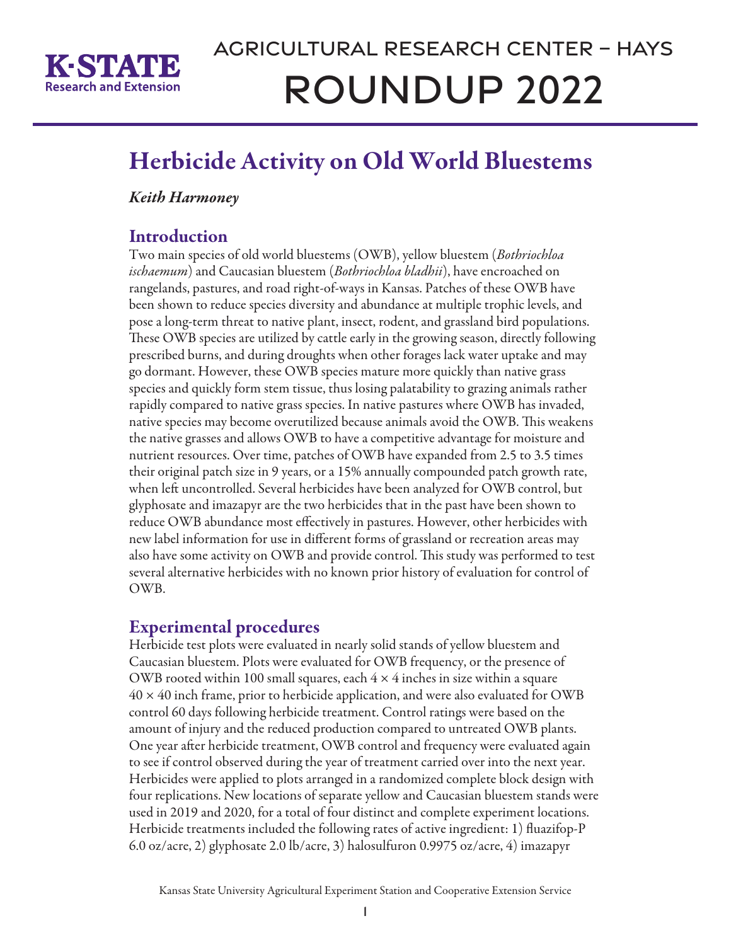

# Herbicide Activity on Old World Bluestems

# *Keith Harmoney*

# **Introduction**

Two main species of old world bluestems (OWB), yellow bluestem (*Bothriochloa ischaemum*) and Caucasian bluestem (*Bothriochloa bladhii*), have encroached on rangelands, pastures, and road right-of-ways in Kansas. Patches of these OWB have been shown to reduce species diversity and abundance at multiple trophic levels, and pose a long-term threat to native plant, insect, rodent, and grassland bird populations. These OWB species are utilized by cattle early in the growing season, directly following prescribed burns, and during droughts when other forages lack water uptake and may go dormant. However, these OWB species mature more quickly than native grass species and quickly form stem tissue, thus losing palatability to grazing animals rather rapidly compared to native grass species. In native pastures where OWB has invaded, native species may become overutilized because animals avoid the OWB. This weakens the native grasses and allows OWB to have a competitive advantage for moisture and nutrient resources. Over time, patches of OWB have expanded from 2.5 to 3.5 times their original patch size in 9 years, or a 15% annually compounded patch growth rate, when left uncontrolled. Several herbicides have been analyzed for OWB control, but glyphosate and imazapyr are the two herbicides that in the past have been shown to reduce OWB abundance most effectively in pastures. However, other herbicides with new label information for use in different forms of grassland or recreation areas may also have some activity on OWB and provide control. This study was performed to test several alternative herbicides with no known prior history of evaluation for control of OWB.

# Experimental procedures

Herbicide test plots were evaluated in nearly solid stands of yellow bluestem and Caucasian bluestem. Plots were evaluated for OWB frequency, or the presence of OWB rooted within 100 small squares, each  $4 \times 4$  inches in size within a square  $40 \times 40$  inch frame, prior to herbicide application, and were also evaluated for OWB control 60 days following herbicide treatment. Control ratings were based on the amount of injury and the reduced production compared to untreated OWB plants. One year after herbicide treatment, OWB control and frequency were evaluated again to see if control observed during the year of treatment carried over into the next year. Herbicides were applied to plots arranged in a randomized complete block design with four replications. New locations of separate yellow and Caucasian bluestem stands were used in 2019 and 2020, for a total of four distinct and complete experiment locations. Herbicide treatments included the following rates of active ingredient: 1) fluazifop-P 6.0 oz/acre, 2) glyphosate 2.0 lb/acre, 3) halosulfuron 0.9975 oz/acre, 4) imazapyr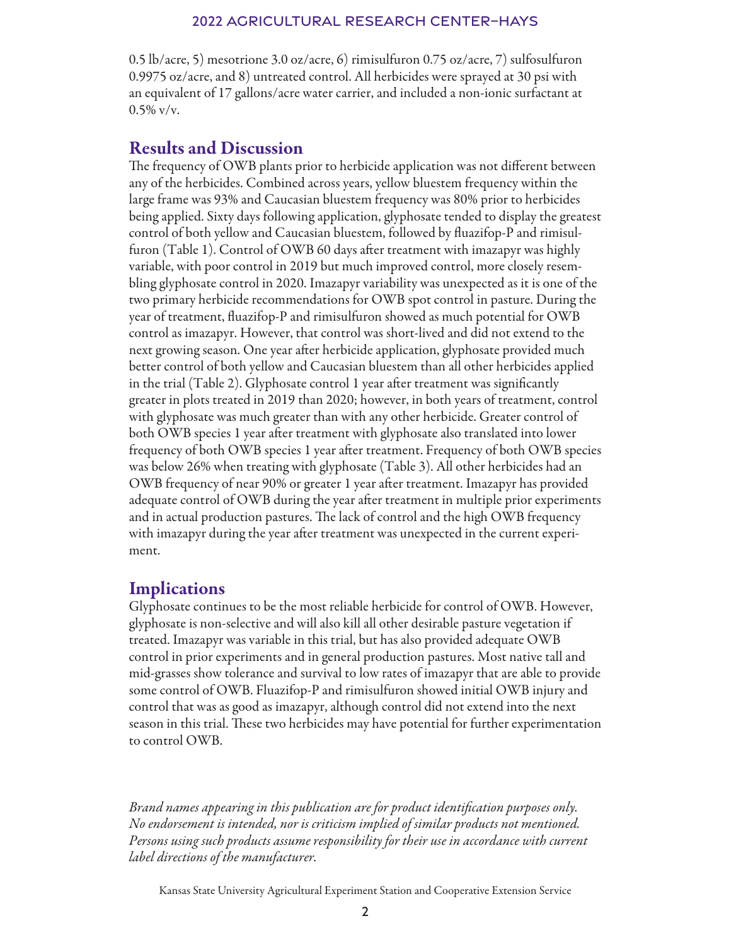#### 2022 Agricultural Research Center–Hays

0.5 lb/acre, 5) mesotrione 3.0 oz/acre, 6) rimisulfuron 0.75 oz/acre, 7) sulfosulfuron 0.9975 oz/acre, and 8) untreated control. All herbicides were sprayed at 30 psi with an equivalent of 17 gallons/acre water carrier, and included a non-ionic surfactant at  $0.5\%$  v/v.

## Results and Discussion

The frequency of OWB plants prior to herbicide application was not different between any of the herbicides. Combined across years, yellow bluestem frequency within the large frame was 93% and Caucasian bluestem frequency was 80% prior to herbicides being applied. Sixty days following application, glyphosate tended to display the greatest control of both yellow and Caucasian bluestem, followed by fluazifop-P and rimisulfuron (Table 1). Control of OWB 60 days after treatment with imazapyr was highly variable, with poor control in 2019 but much improved control, more closely resembling glyphosate control in 2020. Imazapyr variability was unexpected as it is one of the two primary herbicide recommendations for OWB spot control in pasture. During the year of treatment, fluazifop-P and rimisulfuron showed as much potential for OWB control as imazapyr. However, that control was short-lived and did not extend to the next growing season. One year after herbicide application, glyphosate provided much better control of both yellow and Caucasian bluestem than all other herbicides applied in the trial (Table 2). Glyphosate control 1 year after treatment was significantly greater in plots treated in 2019 than 2020; however, in both years of treatment, control with glyphosate was much greater than with any other herbicide. Greater control of both OWB species 1 year after treatment with glyphosate also translated into lower frequency of both OWB species 1 year after treatment. Frequency of both OWB species was below 26% when treating with glyphosate (Table 3). All other herbicides had an OWB frequency of near 90% or greater 1 year after treatment. Imazapyr has provided adequate control of OWB during the year after treatment in multiple prior experiments and in actual production pastures. The lack of control and the high OWB frequency with imazapyr during the year after treatment was unexpected in the current experiment.

# **Implications**

Glyphosate continues to be the most reliable herbicide for control of OWB. However, glyphosate is non-selective and will also kill all other desirable pasture vegetation if treated. Imazapyr was variable in this trial, but has also provided adequate OWB control in prior experiments and in general production pastures. Most native tall and mid-grasses show tolerance and survival to low rates of imazapyr that are able to provide some control of OWB. Fluazifop-P and rimisulfuron showed initial OWB injury and control that was as good as imazapyr, although control did not extend into the next season in this trial. These two herbicides may have potential for further experimentation to control OWB.

*Brand names appearing in this publication are for product identification purposes only. No endorsement is intended, nor is criticism implied of similar products not mentioned. Persons using such products assume responsibility for their use in accordance with current label directions of the manufacturer.*

Kansas State University Agricultural Experiment Station and Cooperative Extension Service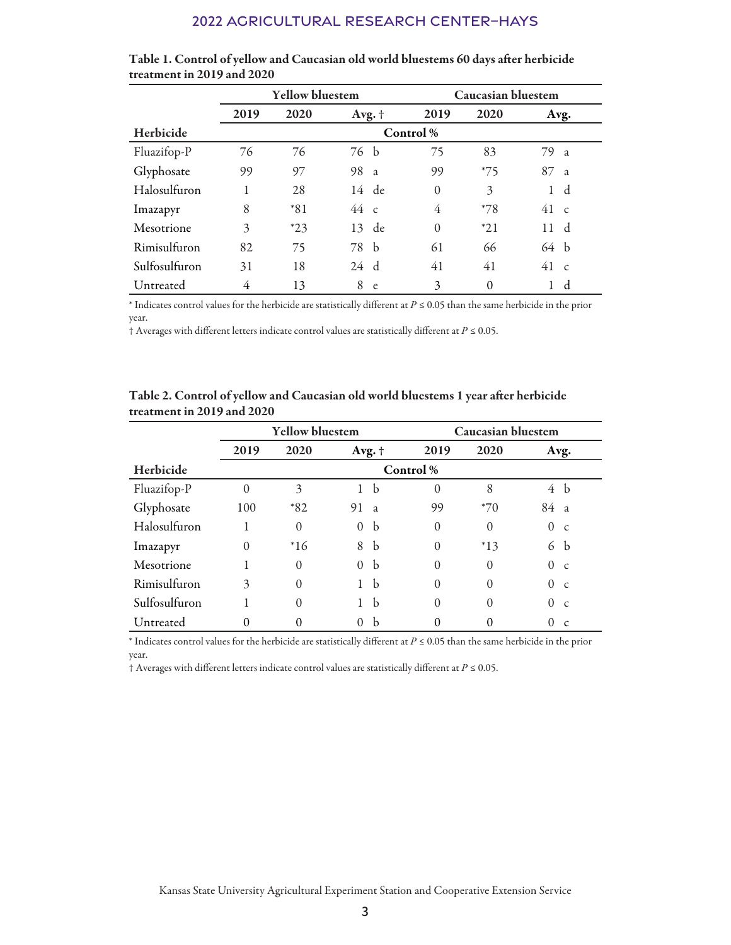#### 2022 Agricultural Research Center–Hays

|               | <b>Yellow bluestem</b> |       |         | <b>Caucasian bluestem</b> |          |          |               |                |  |
|---------------|------------------------|-------|---------|---------------------------|----------|----------|---------------|----------------|--|
|               | 2019                   | 2020  | Avg. +  |                           | 2019     | 2020     | Avg.          |                |  |
| Herbicide     | Control %              |       |         |                           |          |          |               |                |  |
| Fluazifop-P   | 76                     | 76    | 76 b    |                           | 75       | 83       | 79 a          |                |  |
| Glyphosate    | 99                     | 97    | 98 a    |                           | 99       | $*75$    | 87            | $\overline{a}$ |  |
| Halosulfuron  |                        | 28    | $14$ de |                           | $\theta$ | 3        | 1             | d              |  |
| Imazapyr      | 8                      | $*81$ | 44c     |                           | 4        | $*78$    | $41\degree$ c |                |  |
| Mesotrione    | 3                      | $*23$ | 13 de   |                           | $\theta$ | $*21$    | 11            | d              |  |
| Rimisulfuron  | 82                     | 75    | 78 b    |                           | 61       | 66       | 64 h          |                |  |
| Sulfosulfuron | 31                     | 18    | 24 d    |                           | 41       | 41       | 41            | $\mathcal{C}$  |  |
| Untreated     | 4                      | 13    | 8<br>e  |                           | 3        | $\theta$ |               | d              |  |

| Table 1. Control of yellow and Caucasian old world bluestems 60 days after herbicide |  |
|--------------------------------------------------------------------------------------|--|
| treatment in 2019 and 2020                                                           |  |

\* Indicates control values for the herbicide are statistically different at *P* ≤ 0.05 than the same herbicide in the prior year.

† Averages with different letters indicate control values are statistically different at *P* ≤ 0.05.

|               | <b>Yellow bluestem</b> |          |                          |          | <b>Caucasian bluestem</b> |          |                |  |
|---------------|------------------------|----------|--------------------------|----------|---------------------------|----------|----------------|--|
|               | 2019                   | 2020     | Avg. $\dagger$           | 2019     | 2020                      |          | Avg.           |  |
| Herbicide     | Control %              |          |                          |          |                           |          |                |  |
| Fluazifop-P   | $\theta$               | 3        | b<br>1                   | $\Omega$ | 8                         | 4 b      |                |  |
| Glyphosate    | 100                    | $*82$    | 91<br><sub>a</sub>       | 99       | $*70$                     | 84       | $\overline{a}$ |  |
| Halosulfuron  |                        | $\Omega$ | <sub>b</sub><br>$\Omega$ | $\Omega$ | $\Omega$                  | $\Omega$ | $\mathcal{C}$  |  |
| Imazapyr      | $\theta$               | $*16$    | $\mathbf b$<br>8         | $\Omega$ | $*13$                     | 6        | <sub>b</sub>   |  |
| Mesotrione    |                        | $\Omega$ | $\mathbf b$<br>$\Omega$  | $\Omega$ | $\theta$                  | $\Omega$ | $\mathcal{C}$  |  |
| Rimisulfuron  | 3                      | $\theta$ | b<br>1                   | $\Omega$ | $\theta$                  | $\Omega$ | $\mathcal{C}$  |  |
| Sulfosulfuron |                        | $\theta$ | b                        | $\theta$ | $\theta$                  | $\Omega$ | $\mathcal{C}$  |  |
| Untreated     | 0                      | $\Omega$ | b<br>$\Omega$            | $\Omega$ |                           | 0        | $\mathbf{C}$   |  |

Table 2. Control of yellow and Caucasian old world bluestems 1 year after herbicide treatment in 2019 and 2020

\* Indicates control values for the herbicide are statistically different at *P* ≤ 0.05 than the same herbicide in the prior year.

† Averages with different letters indicate control values are statistically different at *P* ≤ 0.05.